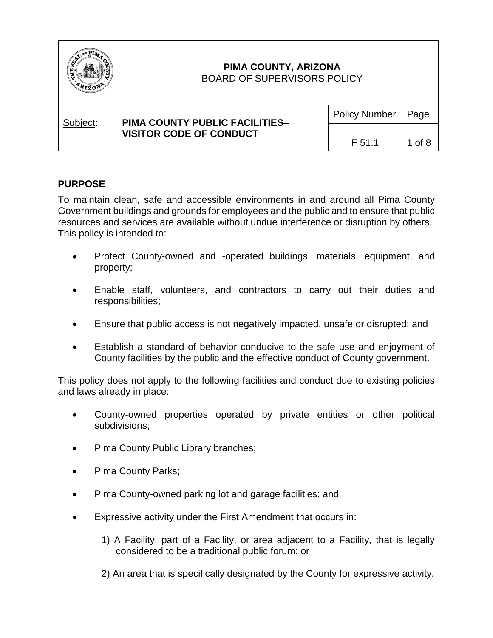

| Subject: | <b>PIMA COUNTY PUBLIC FACILITIES-</b><br><b>VISITOR CODE OF CONDUCT</b> | Policy Number   Page |        |
|----------|-------------------------------------------------------------------------|----------------------|--------|
|          |                                                                         | F 51.1               | 1 of 8 |

### **PURPOSE**

To maintain clean, safe and accessible environments in and around all Pima County Government buildings and grounds for employees and the public and to ensure that public resources and services are available without undue interference or disruption by others. This policy is intended to:

- Protect County-owned and -operated buildings, materials, equipment, and property;
- Enable staff, volunteers, and contractors to carry out their duties and responsibilities;
- Ensure that public access is not negatively impacted, unsafe or disrupted; and
- Establish a standard of behavior conducive to the safe use and enjoyment of County facilities by the public and the effective conduct of County government.

This policy does not apply to the following facilities and conduct due to existing policies and laws already in place:

- County-owned properties operated by private entities or other political subdivisions;
- Pima County Public Library branches;
- Pima County Parks;
- Pima County-owned parking lot and garage facilities; and
- Expressive activity under the First Amendment that occurs in:
	- 1) A Facility, part of a Facility, or area adjacent to a Facility, that is legally considered to be a traditional public forum; or
	- 2) An area that is specifically designated by the County for expressive activity.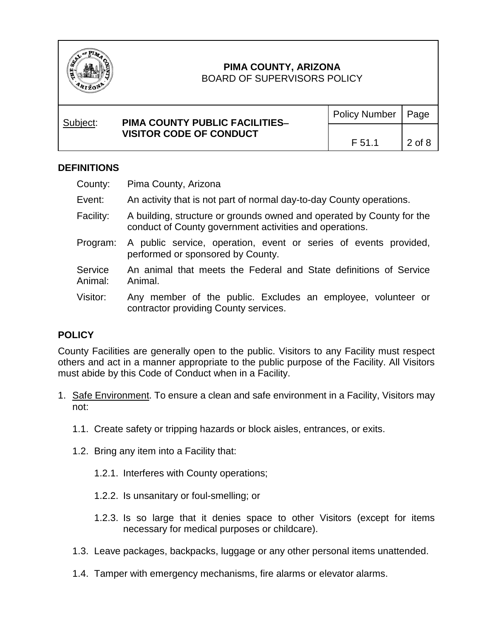

### BOARD OF SUPERVISORS POLICY

| Subject: | <b>PIMA COUNTY PUBLIC FACILITIES-</b><br><b>VISITOR CODE OF CONDUCT</b> | Policy Number   Page |        |
|----------|-------------------------------------------------------------------------|----------------------|--------|
|          |                                                                         | F 51.1               | 2 of 8 |

### **DEFINITIONS**

| County: | Pima County, Arizona |
|---------|----------------------|
|---------|----------------------|

- Event: An activity that is not part of normal day-to-day County operations.
- Facility: A building, structure or grounds owned and operated by County for the conduct of County government activities and operations.
- Program: A public service, operation, event or series of events provided, performed or sponsored by County.
- **Service** Animal: An animal that meets the Federal and State definitions of Service Animal.
- Visitor: Any member of the public. Excludes an employee, volunteer or contractor providing County services.

## **POLICY**

County Facilities are generally open to the public. Visitors to any Facility must respect others and act in a manner appropriate to the public purpose of the Facility. All Visitors must abide by this Code of Conduct when in a Facility.

- 1. Safe Environment. To ensure a clean and safe environment in a Facility, Visitors may not:
	- 1.1. Create safety or tripping hazards or block aisles, entrances, or exits.
	- 1.2. Bring any item into a Facility that:
		- 1.2.1. Interferes with County operations;
		- 1.2.2. Is unsanitary or foul-smelling; or
		- 1.2.3. Is so large that it denies space to other Visitors (except for items necessary for medical purposes or childcare).
	- 1.3. Leave packages, backpacks, luggage or any other personal items unattended.
	- 1.4. Tamper with emergency mechanisms, fire alarms or elevator alarms.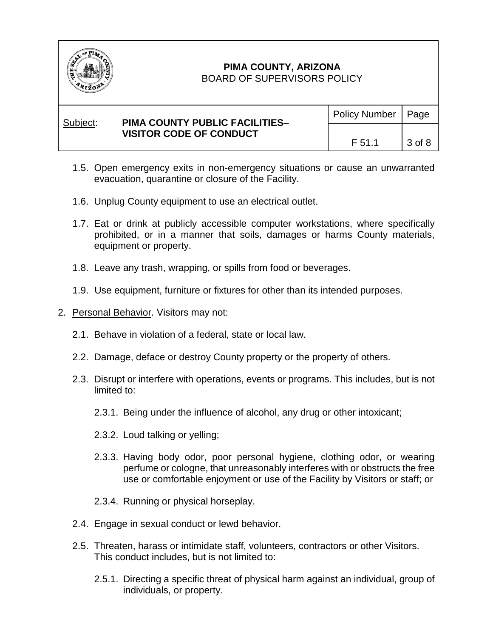

### BOARD OF SUPERVISORS POLICY

| Subject: | <b>PIMA COUNTY PUBLIC FACILITIES-</b><br><b>VISITOR CODE OF CONDUCT</b> | Policy Number   Page |          |
|----------|-------------------------------------------------------------------------|----------------------|----------|
|          |                                                                         | F 51.1               | $3$ of 8 |

- 1.5. Open emergency exits in non-emergency situations or cause an unwarranted evacuation, quarantine or closure of the Facility.
- 1.6. Unplug County equipment to use an electrical outlet.
- 1.7. Eat or drink at publicly accessible computer workstations, where specifically prohibited, or in a manner that soils, damages or harms County materials, equipment or property.
- 1.8. Leave any trash, wrapping, or spills from food or beverages.
- 1.9. Use equipment, furniture or fixtures for other than its intended purposes.
- 2. Personal Behavior. Visitors may not:
	- 2.1. Behave in violation of a federal, state or local law.
	- 2.2. Damage, deface or destroy County property or the property of others.
	- 2.3. Disrupt or interfere with operations, events or programs. This includes, but is not limited to:
		- 2.3.1. Being under the influence of alcohol, any drug or other intoxicant;
		- 2.3.2. Loud talking or yelling;
		- 2.3.3. Having body odor, poor personal hygiene, clothing odor, or wearing perfume or cologne, that unreasonably interferes with or obstructs the free use or comfortable enjoyment or use of the Facility by Visitors or staff; or
		- 2.3.4. Running or physical horseplay.
	- 2.4. Engage in sexual conduct or lewd behavior.
	- 2.5. Threaten, harass or intimidate staff, volunteers, contractors or other Visitors. This conduct includes, but is not limited to:
		- 2.5.1. Directing a specific threat of physical harm against an individual, group of individuals, or property.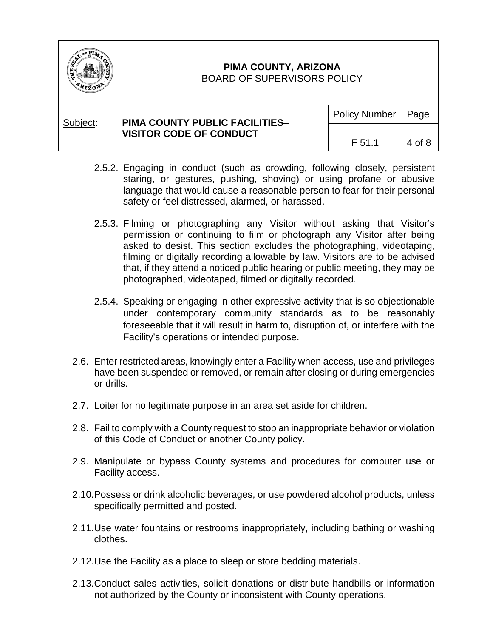

| Subject: | <b>PIMA COUNTY PUBLIC FACILITIES-</b><br><b>VISITOR CODE OF CONDUCT</b> | Policy Number   Page |        |
|----------|-------------------------------------------------------------------------|----------------------|--------|
|          |                                                                         | F 51.1               | 4 of 8 |

- 2.5.2. Engaging in conduct (such as crowding, following closely, persistent staring, or gestures, pushing, shoving) or using profane or abusive language that would cause a reasonable person to fear for their personal safety or feel distressed, alarmed, or harassed.
- 2.5.3. Filming or photographing any Visitor without asking that Visitor's permission or continuing to film or photograph any Visitor after being asked to desist. This section excludes the photographing, videotaping, filming or digitally recording allowable by law. Visitors are to be advised that, if they attend a noticed public hearing or public meeting, they may be photographed, videotaped, filmed or digitally recorded.
- 2.5.4. Speaking or engaging in other expressive activity that is so objectionable under contemporary community standards as to be reasonably foreseeable that it will result in harm to, disruption of, or interfere with the Facility's operations or intended purpose.
- 2.6. Enter restricted areas, knowingly enter a Facility when access, use and privileges have been suspended or removed, or remain after closing or during emergencies or drills.
- 2.7. Loiter for no legitimate purpose in an area set aside for children.
- 2.8. Fail to comply with a County request to stop an inappropriate behavior or violation of this Code of Conduct or another County policy.
- 2.9. Manipulate or bypass County systems and procedures for computer use or Facility access.
- 2.10.Possess or drink alcoholic beverages, or use powdered alcohol products, unless specifically permitted and posted.
- 2.11.Use water fountains or restrooms inappropriately, including bathing or washing clothes.
- 2.12.Use the Facility as a place to sleep or store bedding materials.
- 2.13.Conduct sales activities, solicit donations or distribute handbills or information not authorized by the County or inconsistent with County operations.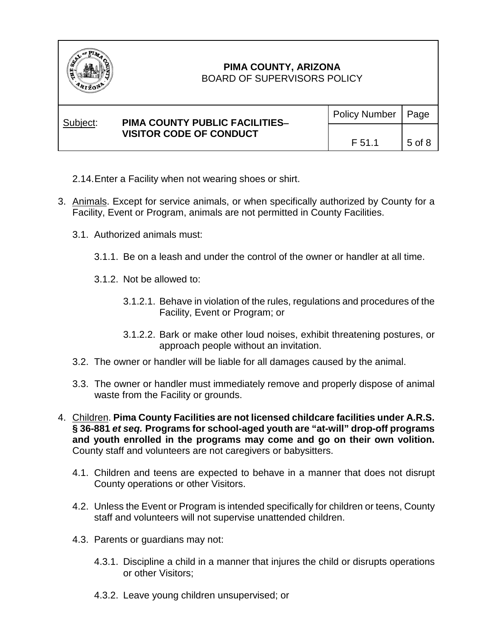

### BOARD OF SUPERVISORS POLICY

| Subject: | <b>PIMA COUNTY PUBLIC FACILITIES-</b><br><b>VISITOR CODE OF CONDUCT</b> | Policy Number   Page |        |
|----------|-------------------------------------------------------------------------|----------------------|--------|
|          |                                                                         | F 51.1               | 5 of 8 |

- 2.14.Enter a Facility when not wearing shoes or shirt.
- 3. Animals. Except for service animals, or when specifically authorized by County for a Facility, Event or Program, animals are not permitted in County Facilities.
	- 3.1. Authorized animals must:
		- 3.1.1. Be on a leash and under the control of the owner or handler at all time.
		- 3.1.2. Not be allowed to:
			- 3.1.2.1. Behave in violation of the rules, regulations and procedures of the Facility, Event or Program; or
			- 3.1.2.2. Bark or make other loud noises, exhibit threatening postures, or approach people without an invitation.
	- 3.2. The owner or handler will be liable for all damages caused by the animal.
	- 3.3. The owner or handler must immediately remove and properly dispose of animal waste from the Facility or grounds.
- 4. Children. **Pima County Facilities are not licensed childcare facilities under A.R.S. § 36-881** *et seq.* **Programs for school-aged youth are "at-will" drop-off programs and youth enrolled in the programs may come and go on their own volition.**  County staff and volunteers are not caregivers or babysitters.
	- 4.1. Children and teens are expected to behave in a manner that does not disrupt County operations or other Visitors.
	- 4.2. Unless the Event or Program is intended specifically for children or teens, County staff and volunteers will not supervise unattended children.
	- 4.3. Parents or guardians may not:
		- 4.3.1. Discipline a child in a manner that injures the child or disrupts operations or other Visitors;
		- 4.3.2. Leave young children unsupervised; or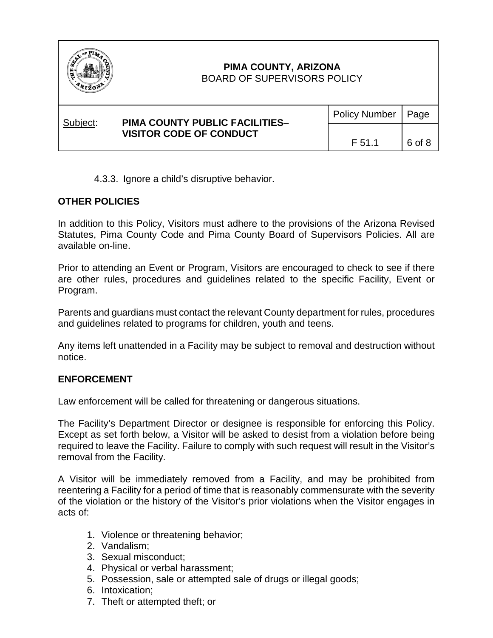

Subject: **PIMA COUNTY PUBLIC FACILITIES**−  **VISITOR CODE OF CONDUCT** Policy Number | Page  $F 51.1$  6 of 8

4.3.3. Ignore a child's disruptive behavior.

## **OTHER POLICIES**

In addition to this Policy, Visitors must adhere to the provisions of the Arizona Revised Statutes, Pima County Code and Pima County Board of Supervisors Policies. All are available on-line.

Prior to attending an Event or Program, Visitors are encouraged to check to see if there are other rules, procedures and guidelines related to the specific Facility, Event or Program.

Parents and guardians must contact the relevant County department for rules, procedures and guidelines related to programs for children, youth and teens.

Any items left unattended in a Facility may be subject to removal and destruction without notice.

### **ENFORCEMENT**

Law enforcement will be called for threatening or dangerous situations.

The Facility's Department Director or designee is responsible for enforcing this Policy. Except as set forth below, a Visitor will be asked to desist from a violation before being required to leave the Facility. Failure to comply with such request will result in the Visitor's removal from the Facility.

A Visitor will be immediately removed from a Facility, and may be prohibited from reentering a Facility for a period of time that is reasonably commensurate with the severity of the violation or the history of the Visitor's prior violations when the Visitor engages in acts of:

- 1. Violence or threatening behavior;
- 2. Vandalism;
- 3. Sexual misconduct;
- 4. Physical or verbal harassment;
- 5. Possession, sale or attempted sale of drugs or illegal goods;
- 6. Intoxication;
- 7. Theft or attempted theft; or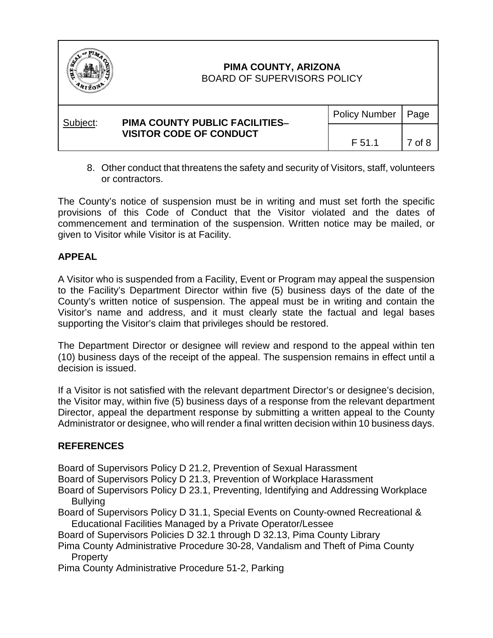

| Subject: | <b>PIMA COUNTY PUBLIC FACILITIES-</b><br><b>VISITOR CODE OF CONDUCT</b> | Policy Number   Page |        |
|----------|-------------------------------------------------------------------------|----------------------|--------|
|          |                                                                         | F 51.1               | 7 of 8 |

8. Other conduct that threatens the safety and security of Visitors, staff, volunteers or contractors.

The County's notice of suspension must be in writing and must set forth the specific provisions of this Code of Conduct that the Visitor violated and the dates of commencement and termination of the suspension. Written notice may be mailed, or given to Visitor while Visitor is at Facility.

### **APPEAL**

A Visitor who is suspended from a Facility, Event or Program may appeal the suspension to the Facility's Department Director within five (5) business days of the date of the County's written notice of suspension. The appeal must be in writing and contain the Visitor's name and address, and it must clearly state the factual and legal bases supporting the Visitor's claim that privileges should be restored.

The Department Director or designee will review and respond to the appeal within ten (10) business days of the receipt of the appeal. The suspension remains in effect until a decision is issued.

If a Visitor is not satisfied with the relevant department Director's or designee's decision, the Visitor may, within five (5) business days of a response from the relevant department Director, appeal the department response by submitting a written appeal to the County Administrator or designee, who will render a final written decision within 10 business days.

## **REFERENCES**

Board of Supervisors Policy D 21.2, Prevention of Sexual Harassment

Board of Supervisors Policy D 21.3, Prevention of Workplace Harassment

- Board of Supervisors Policy D 23.1, Preventing, Identifying and Addressing Workplace **Bullying**
- Board of Supervisors Policy D 31.1, Special Events on County-owned Recreational & Educational Facilities Managed by a Private Operator/Lessee

Board of Supervisors Policies D 32.1 through D 32.13, Pima County Library

Pima County Administrative Procedure 30-28, Vandalism and Theft of Pima County Property

Pima County Administrative Procedure 51-2, Parking